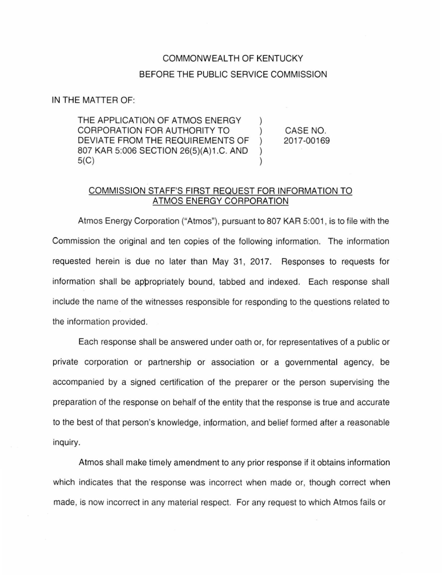## COMMONWEALTH OF KENTUCKY BEFORE THE PUBLIC SERVICE COMMISSION

 $\mathcal{L}$  $\mathcal{L}$  $\mathcal{L}$  $\mathcal{L}$  $\mathcal{E}$ 

IN THE MATTER OF:

THE APPLICATION OF ATMOS ENERGY CORPORATION FOR AUTHORITY TO DEVIATE FROM THE REQUIREMENTS OF 807 KAR 5:006 SECTION 26(5)(A)1.C. AND 5(C)

CASE NO. 2017-00169

## COMMISSION STAFF'S FIRST REQUEST FOR INFORMATION TO ATMOS ENERGY CORPORATION

Atmos Energy Corporation ("Atmos"), pursuant to 807 KAR 5:001 , is to file with the Commission the original and ten copies of the following information. The information requested herein is due no later than May 31, 2017. Responses to requests for information shall be appropriately bound, tabbed and indexed. Each response shall include the name of the witnesses responsible for responding to the questions related to the information provided.

Each response shall be answered under oath or, for representatives of a public or private corporation or partnership or association or a governmental agency, be accompanied by a signed certification of the preparer or the person supervising the preparation of the response on behalf of the entity that the response is true and accurate to the best of that person's knowledge, information, and belief formed after a reasonable inquiry.

Atmos shall make timely amendment to any prior response if it obtains information which indicates that the response was incorrect when made or, though correct when made, is now incorrect in any material respect. For any request to which Atmos fails or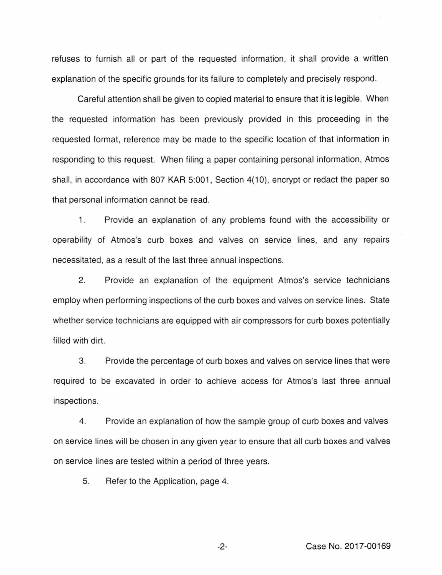refuses to furnish all or part of the requested information, it shall provide a written explanation of the specific grounds for its failure to completely and precisely respond.

Careful attention shall be given to copied material to ensure that it is legible. When the requested information has been previously provided in this proceeding in the requested format, reference may be made to the specific location of that information in responding to this request. When filing a paper containing personal information, Atmos shall, in accordance with 807 KAR 5:001, Section 4(10), encrypt or redact the paper so that personal information cannot be read.

1. Provide an explanation of any problems found with the accessibility or operability of Atmos's curb boxes and valves on service lines, and any repairs necessitated, as a result of the last three annual inspections.

2. Provide an explanation of the equipment Atmos's service technicians employ when performing inspections of the curb boxes and valves on service lines. State whether service technicians are equipped with air compressors for curb boxes potentially filled with dirt.

3. Provide the percentage of curb boxes and valves on service lines that were required to be excavated in order to achieve access for Atmos's last three annual inspections.

4. Provide an explanation of how the sample group of curb boxes and valves on service lines will be chosen in any given year to ensure that all curb boxes and valves on service lines are tested within a period of three years.

5. Refer to the Application, page 4.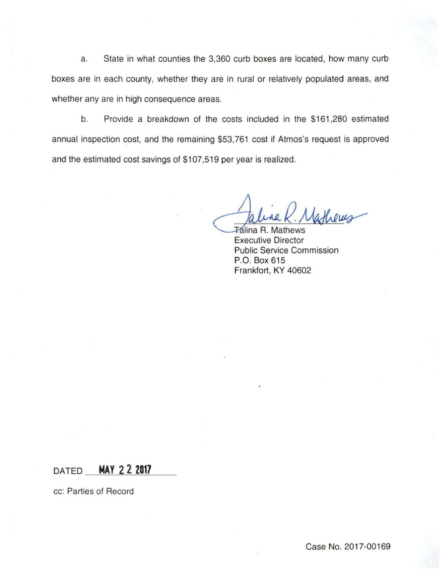a. State in what counties the 3,360 curb boxes are located, how many curb boxes are in each county, whether they are in rural or relatively populated areas, and whether any are in high consequence areas.

b. Provide a breakdown of the costs included in the \$161 ,280 estimated annual inspection cost, and the remaining \$53,761 cost if Atmos's request is approved and the estimated cost savings of \$107,519 per year is realized.

Faline K. Mathews

Executive Director Public Service Commission P.O. Box 615 Frankfort, KY 40602

DATED **MAY 2 2 2017** 

cc: Parties of Record

Case No. 2017-00169